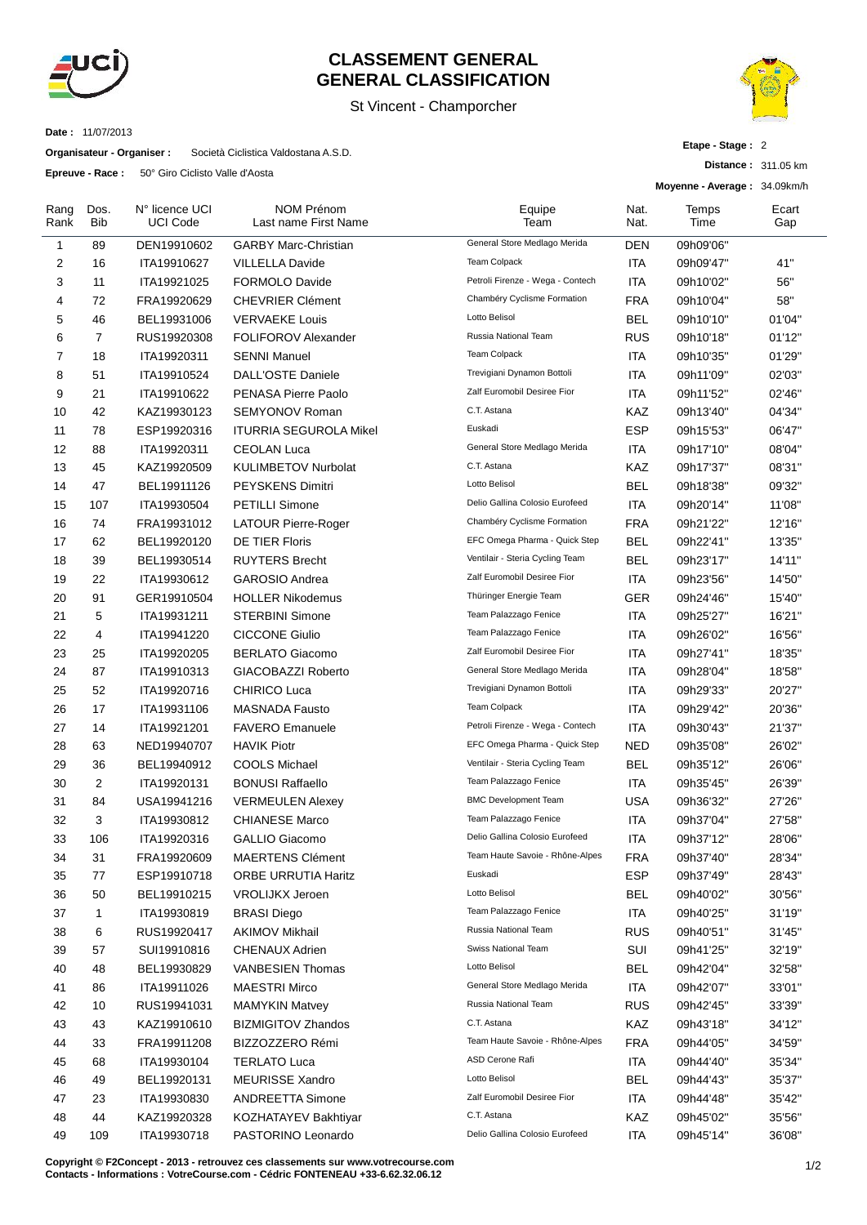

## **CLASSEMENT GENERAL GENERAL CLASSIFICATION**

## St Vincent - Champorcher



**Distance :** 311.05 km

**Etape - Stage :** 2

**Date :** 11/07/2013

**Organisateur - Organiser :** Società Ciclistica Valdostana A.S.D.

**Epreuve - Race :** 50° Giro Ciclisto Valle d'Aosta

|              |             |                                   |                                           |                                  |              | Moyenne - Average: 34.09km/h |              |  |  |
|--------------|-------------|-----------------------------------|-------------------------------------------|----------------------------------|--------------|------------------------------|--------------|--|--|
| Rang<br>Rank | Dos.<br>Bib | N° licence UCI<br><b>UCI Code</b> | <b>NOM Prénom</b><br>Last name First Name | Equipe<br>Team                   | Nat.<br>Nat. | Temps<br>Time                | Ecart<br>Gap |  |  |
| 1            | 89          | DEN19910602                       | <b>GARBY Marc-Christian</b>               | General Store Medlago Merida     | DEN          | 09h09'06"                    |              |  |  |
| 2            | 16          | ITA19910627                       | <b>VILLELLA Davide</b>                    | <b>Team Colpack</b>              | ITA          | 09h09'47"                    | 41"          |  |  |
| 3            | 11          | ITA19921025                       | <b>FORMOLO Davide</b>                     | Petroli Firenze - Wega - Contech | ITA          | 09h10'02"                    | 56"          |  |  |
| 4            | 72          | FRA19920629                       | <b>CHEVRIER Clément</b>                   | Chambéry Cyclisme Formation      | <b>FRA</b>   | 09h10'04"                    | 58"          |  |  |
| 5            | 46          | BEL19931006                       | <b>VERVAEKE Louis</b>                     | Lotto Belisol                    | <b>BEL</b>   | 09h10'10"                    | 01'04"       |  |  |
| 6            | 7           | RUS19920308                       | <b>FOLIFOROV Alexander</b>                | Russia National Team             | <b>RUS</b>   | 09h10'18"                    | 01'12"       |  |  |
| 7            | 18          | ITA19920311                       | <b>SENNI Manuel</b>                       | Team Colpack                     | ITA          | 09h10'35"                    | 01'29"       |  |  |
| 8            | 51          | ITA19910524                       | <b>DALL'OSTE Daniele</b>                  | Trevigiani Dynamon Bottoli       | ITA          | 09h11'09"                    | 02'03"       |  |  |
| 9            | 21          | ITA19910622                       | PENASA Pierre Paolo                       | Zalf Euromobil Desiree Fior      | <b>ITA</b>   | 09h11'52"                    | 02'46"       |  |  |
| 10           | 42          | KAZ19930123                       | SEMYONOV Roman                            | C.T. Astana                      | KAZ          | 09h13'40"                    | 04'34"       |  |  |
| 11           | 78          | ESP19920316                       | <b>ITURRIA SEGUROLA Mikel</b>             | Euskadi                          | <b>ESP</b>   | 09h15'53"                    | 06'47"       |  |  |
| 12           | 88          | ITA19920311                       | <b>CEOLAN Luca</b>                        | General Store Medlago Merida     | ITA          | 09h17'10"                    | 08'04"       |  |  |
| 13           | 45          | KAZ19920509                       | <b>KULIMBETOV Nurbolat</b>                | C.T. Astana                      | KAZ          | 09h17'37"                    | 08'31"       |  |  |
| 14           | 47          | BEL19911126                       | <b>PEYSKENS Dimitri</b>                   | Lotto Belisol                    | <b>BEL</b>   | 09h18'38"                    | 09'32"       |  |  |
| 15           | 107         | ITA19930504                       | <b>PETILLI Simone</b>                     | Delio Gallina Colosio Eurofeed   | ITA          | 09h20'14"                    | 11'08"       |  |  |
| 16           | 74          | FRA19931012                       | <b>LATOUR Pierre-Roger</b>                | Chambéry Cyclisme Formation      | <b>FRA</b>   | 09h21'22"                    | 12'16"       |  |  |
| 17           | 62          | BEL19920120                       | <b>DE TIER Floris</b>                     | EFC Omega Pharma - Quick Step    | <b>BEL</b>   | 09h22'41"                    | 13'35"       |  |  |
| 18           | 39          | BEL19930514                       | <b>RUYTERS Brecht</b>                     | Ventilair - Steria Cycling Team  | BEL          | 09h23'17"                    | 14'11"       |  |  |
| 19           | 22          | ITA19930612                       | <b>GAROSIO Andrea</b>                     | Zalf Euromobil Desiree Fior      | ITA          | 09h23'56"                    | 14'50"       |  |  |
| 20           | 91          | GER19910504                       | <b>HOLLER Nikodemus</b>                   | Thüringer Energie Team           | GER          | 09h24'46"                    | 15'40"       |  |  |
| 21           | 5           | ITA19931211                       | <b>STERBINI Simone</b>                    | Team Palazzago Fenice            | <b>ITA</b>   | 09h25'27"                    | 16'21"       |  |  |
| 22           | 4           | ITA19941220                       | <b>CICCONE Giulio</b>                     | Team Palazzago Fenice            | ITA          | 09h26'02"                    | 16'56"       |  |  |
| 23           | 25          | ITA19920205                       | <b>BERLATO Giacomo</b>                    | Zalf Euromobil Desiree Fior      | ITA          | 09h27'41"                    | 18'35"       |  |  |
| 24           | 87          | ITA19910313                       | GIACOBAZZI Roberto                        | General Store Medlago Merida     | ITA          | 09h28'04"                    | 18'58"       |  |  |
| 25           | 52          | ITA19920716                       | CHIRICO Luca                              | Trevigiani Dynamon Bottoli       | <b>ITA</b>   | 09h29'33"                    | 20'27"       |  |  |
| 26           | 17          | ITA19931106                       | <b>MASNADA Fausto</b>                     | <b>Team Colpack</b>              | ITA          | 09h29'42"                    | 20'36"       |  |  |
| 27           | 14          | ITA19921201                       | <b>FAVERO Emanuele</b>                    | Petroli Firenze - Wega - Contech | ITA          | 09h30'43"                    | 21'37"       |  |  |
| 28           | 63          | NED19940707                       | <b>HAVIK Piotr</b>                        | EFC Omega Pharma - Quick Step    | <b>NED</b>   | 09h35'08"                    | 26'02"       |  |  |
| 29           | 36          | BEL19940912                       | <b>COOLS Michael</b>                      | Ventilair - Steria Cycling Team  | <b>BEL</b>   | 09h35'12"                    | 26'06"       |  |  |
| 30           | 2           | ITA19920131                       | <b>BONUSI Raffaello</b>                   | Team Palazzago Fenice            | ITA          | 09h35'45"                    | 26'39"       |  |  |
| 31           | 84          | USA19941216                       | <b>VERMEULEN Alexey</b>                   | <b>BMC Development Team</b>      | USA          | 09h36'32"                    | 27'26"       |  |  |
| 32           | 3           | ITA19930812                       | <b>CHIANESE Marco</b>                     | Team Palazzago Fenice            | ITA          | 09h37'04"                    | 27'58"       |  |  |
| 33           | 106         | ITA19920316                       | <b>GALLIO Giacomo</b>                     | Delio Gallina Colosio Eurofeed   | <b>ITA</b>   | 09h37'12"                    | 28'06"       |  |  |
| 34           | 31          | FRA19920609                       | <b>MAERTENS Clément</b>                   | Team Haute Savoie - Rhône-Alpes  | <b>FRA</b>   | 09h37'40"                    | 28'34"       |  |  |
| 35           | 77          | ESP19910718                       | <b>ORBE URRUTIA Haritz</b>                | Euskadi                          | <b>ESP</b>   | 09h37'49"                    | 28'43"       |  |  |
| 36           | 50          | BEL19910215                       | <b>VROLIJKX Jeroen</b>                    | Lotto Belisol                    | <b>BEL</b>   | 09h40'02"                    | 30'56"       |  |  |
| 37           | 1           | ITA19930819                       | <b>BRASI Diego</b>                        | Team Palazzago Fenice            | <b>ITA</b>   | 09h40'25"                    | 31'19"       |  |  |
| 38           | 6           | RUS19920417                       | <b>AKIMOV Mikhail</b>                     | Russia National Team             | <b>RUS</b>   | 09h40'51"                    | 31'45"       |  |  |
| 39           | 57          | SUI19910816                       | CHENAUX Adrien                            | Swiss National Team              | SUI          | 09h41'25"                    | 32'19"       |  |  |
| 40           | 48          | BEL19930829                       | <b>VANBESIEN Thomas</b>                   | Lotto Belisol                    | <b>BEL</b>   | 09h42'04"                    | 32'58"       |  |  |
| 41           | 86          | ITA19911026                       | <b>MAESTRI Mirco</b>                      | General Store Medlago Merida     | ITA          | 09h42'07"                    | 33'01"       |  |  |
| 42           | 10          | RUS19941031                       | <b>MAMYKIN Matvey</b>                     | Russia National Team             | <b>RUS</b>   | 09h42'45"                    | 33'39"       |  |  |
| 43           | 43          | KAZ19910610                       | <b>BIZMIGITOV Zhandos</b>                 | C.T. Astana                      | KAZ          | 09h43'18"                    | 34'12"       |  |  |
| 44           | 33          | FRA19911208                       | BIZZOZZERO Rémi                           | Team Haute Savoie - Rhône-Alpes  | <b>FRA</b>   | 09h44'05"                    | 34'59"       |  |  |
| 45           | 68          | ITA19930104                       | <b>TERLATO Luca</b>                       | ASD Cerone Rafi                  | <b>ITA</b>   | 09h44'40"                    | 35'34"       |  |  |
| 46           | 49          | BEL19920131                       | <b>MEURISSE Xandro</b>                    | Lotto Belisol                    | <b>BEL</b>   | 09h44'43"                    | 35'37"       |  |  |
| 47           | 23          | ITA19930830                       | <b>ANDREETTA Simone</b>                   | Zalf Euromobil Desiree Fior      | <b>ITA</b>   | 09h44'48"                    | 35'42"       |  |  |
| 48           | 44          | KAZ19920328                       | KOZHATAYEV Bakhtiyar                      | C.T. Astana                      | KAZ          | 09h45'02"                    | 35'56"       |  |  |
| 49           | 109         | ITA19930718                       | PASTORINO Leonardo                        | Delio Gallina Colosio Eurofeed   | ITA          | 09h45'14"                    | 36'08"       |  |  |